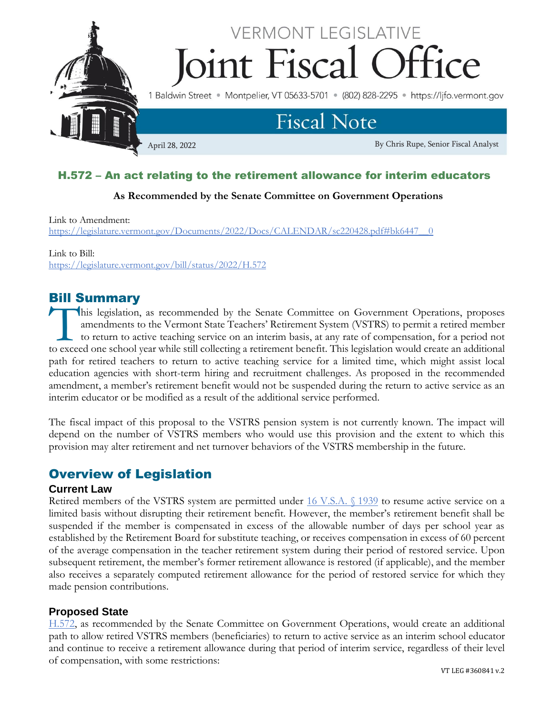

## H.572 – An act relating to the retirement allowance for interim educators

#### **As Recommended by the Senate Committee on Government Operations**

Link to Amendment:

[https://legislature.vermont.gov/Documents/2022/Docs/CALENDAR/sc220428.pdf#bk6447\\_\\_0](https://legislature.vermont.gov/Documents/2022/Docs/CALENDAR/sc220428.pdf#bk6447__0)

Link to Bill: <https://legislature.vermont.gov/bill/status/2022/H.572>

### Bill Summary

his legislation, as recommended by the Senate Committee on Government Operations, proposes amendments to the Vermont State Teachers' Retirement System (VSTRS) to permit a retired member to return to active teaching service on an interim basis, at any rate of compensation, for a period not This legislation, as recommended by the Senate Committee on Government Operations, proposes amendments to the Vermont State Teachers' Retirement System (VSTRS) to permit a retired member to return to active teaching servic path for retired teachers to return to active teaching service for a limited time, which might assist local education agencies with short-term hiring and recruitment challenges. As proposed in the recommended amendment, a member's retirement benefit would not be suspended during the return to active service as an interim educator or be modified as a result of the additional service performed.

The fiscal impact of this proposal to the VSTRS pension system is not currently known. The impact will depend on the number of VSTRS members who would use this provision and the extent to which this provision may alter retirement and net turnover behaviors of the VSTRS membership in the future.

# Overview of Legislation

#### **Current Law**

Retired members of the VSTRS system are permitted under [16 V.S.A. §](https://legislature.vermont.gov/statutes/section/16/055/01939) 1939 to resume active service on a limited basis without disrupting their retirement benefit. However, the member's retirement benefit shall be suspended if the member is compensated in excess of the allowable number of days per school year as established by the Retirement Board for substitute teaching, or receives compensation in excess of 60 percent of the average compensation in the teacher retirement system during their period of restored service. Upon subsequent retirement, the member's former retirement allowance is restored (if applicable), and the member also receives a separately computed retirement allowance for the period of restored service for which they made pension contributions.

#### **Proposed State**

[H.572,](https://legislature.vermont.gov/bill/status/2022/H.572) as recommended by the Senate Committee on Government Operations, would create an additional path to allow retired VSTRS members (beneficiaries) to return to active service as an interim school educator and continue to receive a retirement allowance during that period of interim service, regardless of their level of compensation, with some restrictions: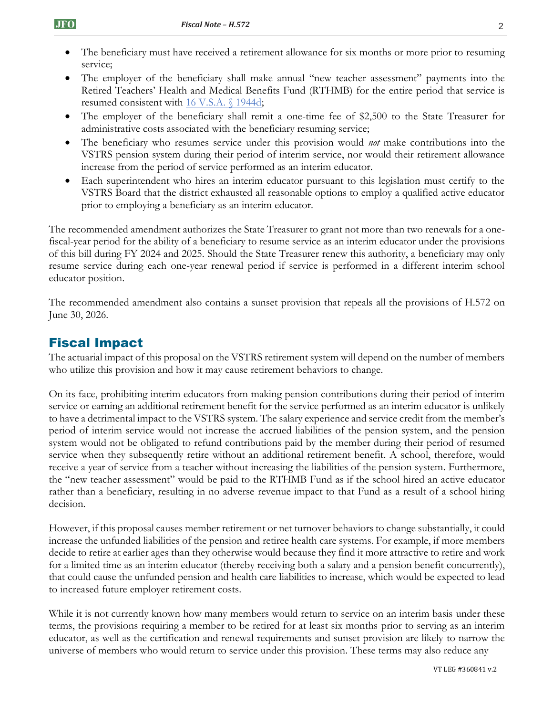- The beneficiary must have received a retirement allowance for six months or more prior to resuming service;
- The employer of the beneficiary shall make annual "new teacher assessment" payments into the Retired Teachers' Health and Medical Benefits Fund (RTHMB) for the entire period that service is resumed consistent with [16 V.S.A. §](https://legislature.vermont.gov/statutes/section/16/055/01944d) 1944d;
- The employer of the beneficiary shall remit a one-time fee of \$2,500 to the State Treasurer for administrative costs associated with the beneficiary resuming service;
- The beneficiary who resumes service under this provision would *not* make contributions into the VSTRS pension system during their period of interim service, nor would their retirement allowance increase from the period of service performed as an interim educator.
- Each superintendent who hires an interim educator pursuant to this legislation must certify to the VSTRS Board that the district exhausted all reasonable options to employ a qualified active educator prior to employing a beneficiary as an interim educator.

The recommended amendment authorizes the State Treasurer to grant not more than two renewals for a onefiscal-year period for the ability of a beneficiary to resume service as an interim educator under the provisions of this bill during FY 2024 and 2025. Should the State Treasurer renew this authority, a beneficiary may only resume service during each one-year renewal period if service is performed in a different interim school educator position.

The recommended amendment also contains a sunset provision that repeals all the provisions of H.572 on June 30, 2026.

# Fiscal Impact

The actuarial impact of this proposal on the VSTRS retirement system will depend on the number of members who utilize this provision and how it may cause retirement behaviors to change.

On its face, prohibiting interim educators from making pension contributions during their period of interim service or earning an additional retirement benefit for the service performed as an interim educator is unlikely to have a detrimental impact to the VSTRS system. The salary experience and service credit from the member's period of interim service would not increase the accrued liabilities of the pension system, and the pension system would not be obligated to refund contributions paid by the member during their period of resumed service when they subsequently retire without an additional retirement benefit. A school, therefore, would receive a year of service from a teacher without increasing the liabilities of the pension system. Furthermore, the "new teacher assessment" would be paid to the RTHMB Fund as if the school hired an active educator rather than a beneficiary, resulting in no adverse revenue impact to that Fund as a result of a school hiring decision.

However, if this proposal causes member retirement or net turnover behaviors to change substantially, it could increase the unfunded liabilities of the pension and retiree health care systems. For example, if more members decide to retire at earlier ages than they otherwise would because they find it more attractive to retire and work for a limited time as an interim educator (thereby receiving both a salary and a pension benefit concurrently), that could cause the unfunded pension and health care liabilities to increase, which would be expected to lead to increased future employer retirement costs.

While it is not currently known how many members would return to service on an interim basis under these terms, the provisions requiring a member to be retired for at least six months prior to serving as an interim educator, as well as the certification and renewal requirements and sunset provision are likely to narrow the universe of members who would return to service under this provision. These terms may also reduce any